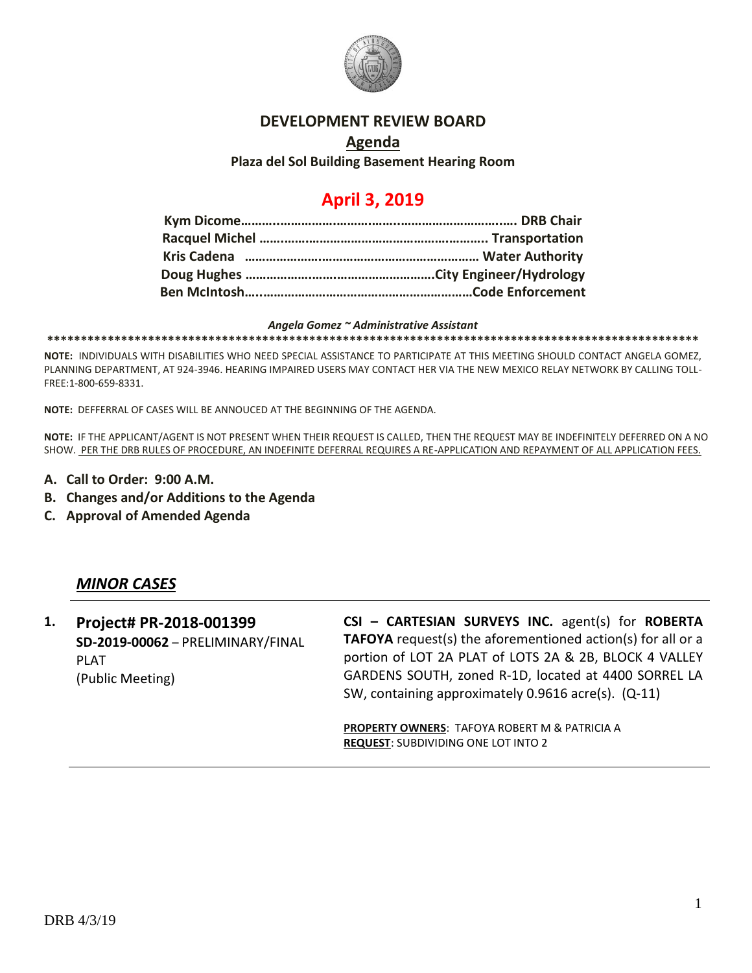

#### **DEVELOPMENT REVIEW BOARD**

### **Agenda Plaza del Sol Building Basement Hearing Room**

# **April 3, 2019**

#### *Angela Gomez ~ Administrative Assistant*

**\*\*\*\*\*\*\*\*\*\*\*\*\*\*\*\*\*\*\*\*\*\*\*\*\*\*\*\*\*\*\*\*\*\*\*\*\*\*\*\*\*\*\*\*\*\*\*\*\*\*\*\*\*\*\*\*\*\*\*\*\*\*\*\*\*\*\*\*\*\*\*\*\*\*\*\*\*\*\*\*\*\*\*\*\*\*\*\*\*\*\*\*\*\*\*\*\***

**NOTE:** INDIVIDUALS WITH DISABILITIES WHO NEED SPECIAL ASSISTANCE TO PARTICIPATE AT THIS MEETING SHOULD CONTACT ANGELA GOMEZ, PLANNING DEPARTMENT, AT 924-3946. HEARING IMPAIRED USERS MAY CONTACT HER VIA THE NEW MEXICO RELAY NETWORK BY CALLING TOLL-FREE:1-800-659-8331.

**NOTE:** DEFFERRAL OF CASES WILL BE ANNOUCED AT THE BEGINNING OF THE AGENDA.

**NOTE:** IF THE APPLICANT/AGENT IS NOT PRESENT WHEN THEIR REQUEST IS CALLED, THEN THE REQUEST MAY BE INDEFINITELY DEFERRED ON A NO SHOW. PER THE DRB RULES OF PROCEDURE, AN INDEFINITE DEFERRAL REQUIRES A RE-APPLICATION AND REPAYMENT OF ALL APPLICATION FEES.

- **A. Call to Order: 9:00 A.M.**
- **B. Changes and/or Additions to the Agenda**
- **C. Approval of Amended Agenda**

### *MINOR CASES*

**1. Project# PR-2018-001399 SD-2019-00062** – PRELIMINARY/FINAL PLAT (Public Meeting)

**CSI – CARTESIAN SURVEYS INC.** agent(s) for **ROBERTA TAFOYA** request(s) the aforementioned action(s) for all or a portion of LOT 2A PLAT of LOTS 2A & 2B, BLOCK 4 VALLEY GARDENS SOUTH, zoned R-1D, located at 4400 SORREL LA SW, containing approximately 0.9616 acre(s). (Q-11)

**PROPERTY OWNERS**: TAFOYA ROBERT M & PATRICIA A **REQUEST**: SUBDIVIDING ONE LOT INTO 2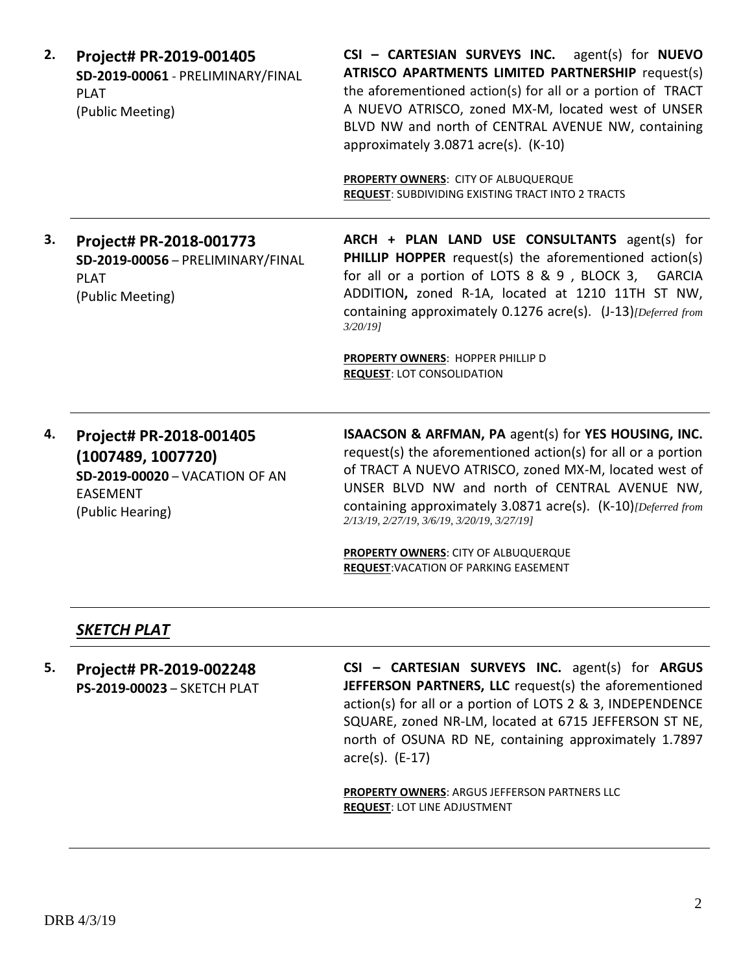| 2. | Project# PR-2019-001405           |  |  |
|----|-----------------------------------|--|--|
|    | SD-2019-00061 - PRELIMINARY/FINAL |  |  |
|    | PLAT                              |  |  |
|    | (Public Meeting)                  |  |  |

**CSI – CARTESIAN SURVEYS INC.** agent(s) for **NUEVO ATRISCO APARTMENTS LIMITED PARTNERSHIP** request(s) the aforementioned action(s) for all or a portion of TRACT A NUEVO ATRISCO, zoned MX-M, located west of UNSER BLVD NW and north of CENTRAL AVENUE NW, containing approximately 3.0871 acre(s). (K-10)

**PROPERTY OWNERS**: CITY OF ALBUQUERQUE **REQUEST**: SUBDIVIDING EXISTING TRACT INTO 2 TRACTS

**3. Project# PR-2018-001773 SD-2019-00056** – PRELIMINARY/FINAL PLAT (Public Meeting)

**ARCH + PLAN LAND USE CONSULTANTS** agent(s) for **PHILLIP HOPPER** request(s) the aforementioned action(s) for all or a portion of LOTS 8 & 9 , BLOCK 3, GARCIA ADDITION**,** zoned R-1A, located at 1210 11TH ST NW, containing approximately 0.1276 acre(s). (J-13)*[Deferred from 3/20/19]*

**PROPERTY OWNERS**: HOPPER PHILLIP D **REQUEST**: LOT CONSOLIDATION

**4. Project# PR-2018-001405 (1007489, 1007720) SD-2019-00020** – VACATION OF AN EASEMENT (Public Hearing)

**ISAACSON & ARFMAN, PA** agent(s) for **YES HOUSING, INC.** request(s) the aforementioned action(s) for all or a portion of TRACT A NUEVO ATRISCO, zoned MX-M, located west of UNSER BLVD NW and north of CENTRAL AVENUE NW, containing approximately 3.0871 acre(s). (K-10)*[Deferred from 2/13/19, 2/27/19, 3/6/19, 3/20/19, 3/27/19]*

**PROPERTY OWNERS**: CITY OF ALBUQUERQUE **REQUEST**:VACATION OF PARKING EASEMENT

### *SKETCH PLAT*

**5. Project# PR-2019-002248 PS-2019-00023** – SKETCH PLAT **CSI – CARTESIAN SURVEYS INC.** agent(s) for **ARGUS JEFFERSON PARTNERS, LLC** request(s) the aforementioned action(s) for all or a portion of LOTS 2 & 3, INDEPENDENCE SQUARE, zoned NR-LM, located at 6715 JEFFERSON ST NE, north of OSUNA RD NE, containing approximately 1.7897 acre(s). (E-17)

**PROPERTY OWNERS**: ARGUS JEFFERSON PARTNERS LLC **REQUEST**: LOT LINE ADJUSTMENT